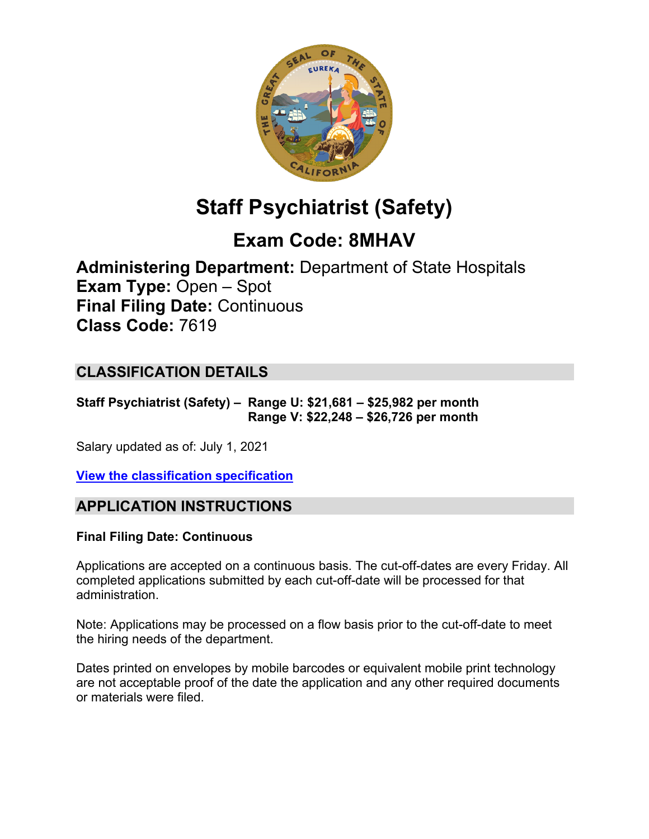

# **Staff Psychiatrist (Safety)**

## **Exam Code: 8MHAV**

**Administering Department:** Department of State Hospitals **Exam Type:** Open – Spot **Final Filing Date:** Continuous **Class Code:** 7619

### **CLASSIFICATION DETAILS**

**Staff Psychiatrist (Safety) – Range U: \$21,681 – \$25,982 per month Range V: \$22,248 – \$26,726 per month**

Salary updated as of: July 1, 2021

**View the [classification specification](https://hrnet.calhr.ca.gov/CalHRNet/SpecCrossReference.aspx?ClassID=7619)**

### **APPLICATION INSTRUCTIONS**

#### **Final Filing Date: Continuous**

Applications are accepted on a continuous basis. The cut-off-dates are every Friday. All completed applications submitted by each cut-off-date will be processed for that administration.

Note: Applications may be processed on a flow basis prior to the cut-off-date to meet the hiring needs of the department.

Dates printed on envelopes by mobile barcodes or equivalent mobile print technology are not acceptable proof of the date the application and any other required documents or materials were filed.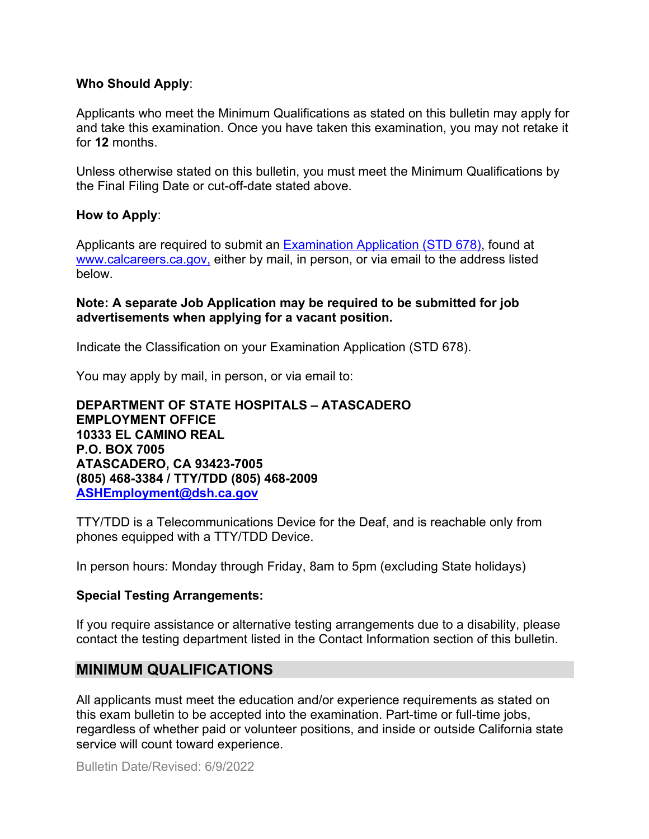#### **Who Should Apply**:

Applicants who meet the Minimum Qualifications as stated on this bulletin may apply for and take this examination. Once you have taken this examination, you may not retake it for **12** months.

Unless otherwise stated on this bulletin, you must meet the Minimum Qualifications by the Final Filing Date or cut-off-date stated above.

#### **How to Apply**:

Applicants are required to submit an [Examination Application \(STD 678\),](https://jobs.ca.gov/pdf/std678.pdf) found at [www.calcareers.ca.gov,](http://www.calcareers.ca.gov/) either by mail, in person, or via email to the address listed below.

#### **Note: A separate Job Application may be required to be submitted for job advertisements when applying for a vacant position.**

Indicate the Classification on your Examination Application (STD 678).

You may apply by mail, in person, or via email to:

**DEPARTMENT OF STATE HOSPITALS – ATASCADERO EMPLOYMENT OFFICE 10333 EL CAMINO REAL P.O. BOX 7005 ATASCADERO, CA 93423-7005 (805) 468-3384 / TTY/TDD (805) 468-2009 [ASHEmployment@dsh.ca.gov](mailto:ASHEmployment@dsh.ca.gov)**

TTY/TDD is a Telecommunications Device for the Deaf, and is reachable only from phones equipped with a TTY/TDD Device.

In person hours: Monday through Friday, 8am to 5pm (excluding State holidays)

#### **Special Testing Arrangements:**

If you require assistance or alternative testing arrangements due to a disability, please contact the testing department listed in the Contact Information section of this bulletin.

#### **MINIMUM QUALIFICATIONS**

All applicants must meet the education and/or experience requirements as stated on this exam bulletin to be accepted into the examination. Part-time or full-time jobs, regardless of whether paid or volunteer positions, and inside or outside California state service will count toward experience.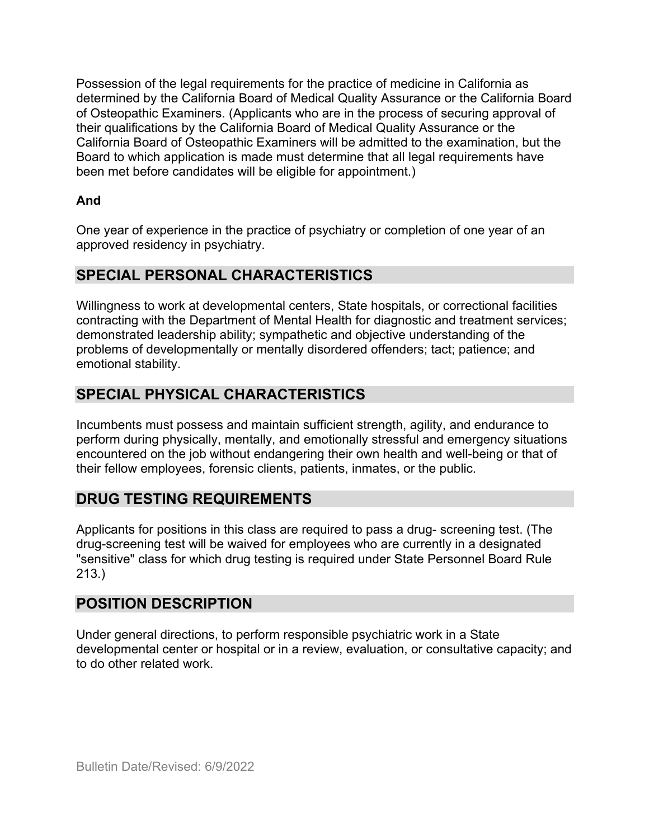Possession of the legal requirements for the practice of medicine in California as determined by the California Board of Medical Quality Assurance or the California Board of Osteopathic Examiners. (Applicants who are in the process of securing approval of their qualifications by the California Board of Medical Quality Assurance or the California Board of Osteopathic Examiners will be admitted to the examination, but the Board to which application is made must determine that all legal requirements have been met before candidates will be eligible for appointment.)

### **And**

One year of experience in the practice of psychiatry or completion of one year of an approved residency in psychiatry.

### **SPECIAL PERSONAL CHARACTERISTICS**

Willingness to work at developmental centers, State hospitals, or correctional facilities contracting with the Department of Mental Health for diagnostic and treatment services; demonstrated leadership ability; sympathetic and objective understanding of the problems of developmentally or mentally disordered offenders; tact; patience; and emotional stability.

### **SPECIAL PHYSICAL CHARACTERISTICS**

Incumbents must possess and maintain sufficient strength, agility, and endurance to perform during physically, mentally, and emotionally stressful and emergency situations encountered on the job without endangering their own health and well-being or that of their fellow employees, forensic clients, patients, inmates, or the public.

### **DRUG TESTING REQUIREMENTS**

Applicants for positions in this class are required to pass a drug- screening test. (The drug-screening test will be waived for employees who are currently in a designated "sensitive" class for which drug testing is required under State Personnel Board Rule 213.)

### **POSITION DESCRIPTION**

Under general directions, to perform responsible psychiatric work in a State developmental center or hospital or in a review, evaluation, or consultative capacity; and to do other related work.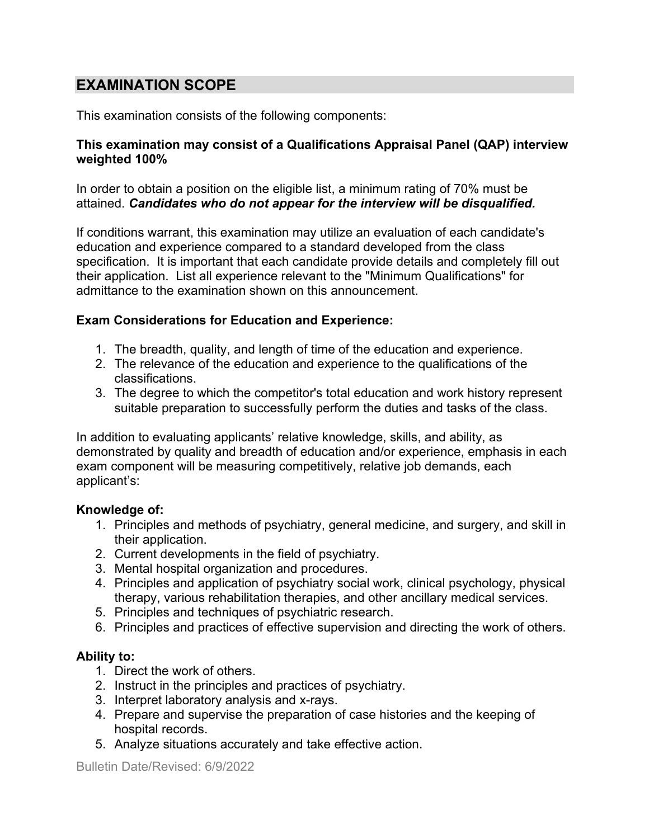### **EXAMINATION SCOPE**

This examination consists of the following components:

#### **This examination may consist of a Qualifications Appraisal Panel (QAP) interview weighted 100%**

In order to obtain a position on the eligible list, a minimum rating of 70% must be attained. *Candidates who do not appear for the interview will be disqualified.*

If conditions warrant, this examination may utilize an evaluation of each candidate's education and experience compared to a standard developed from the class specification. It is important that each candidate provide details and completely fill out their application. List all experience relevant to the "Minimum Qualifications" for admittance to the examination shown on this announcement.

#### **Exam Considerations for Education and Experience:**

- 1. The breadth, quality, and length of time of the education and experience.
- 2. The relevance of the education and experience to the qualifications of the classifications.
- 3. The degree to which the competitor's total education and work history represent suitable preparation to successfully perform the duties and tasks of the class.

In addition to evaluating applicants' relative knowledge, skills, and ability, as demonstrated by quality and breadth of education and/or experience, emphasis in each exam component will be measuring competitively, relative job demands, each applicant's:

#### **Knowledge of:**

- 1. Principles and methods of psychiatry, general medicine, and surgery, and skill in their application.
- 2. Current developments in the field of psychiatry.
- 3. Mental hospital organization and procedures.
- 4. Principles and application of psychiatry social work, clinical psychology, physical therapy, various rehabilitation therapies, and other ancillary medical services.
- 5. Principles and techniques of psychiatric research.
- 6. Principles and practices of effective supervision and directing the work of others.

#### **Ability to:**

- 1. Direct the work of others.
- 2. Instruct in the principles and practices of psychiatry.
- 3. Interpret laboratory analysis and x-rays.
- 4. Prepare and supervise the preparation of case histories and the keeping of hospital records.
- 5. Analyze situations accurately and take effective action.

Bulletin Date/Revised: 6/9/2022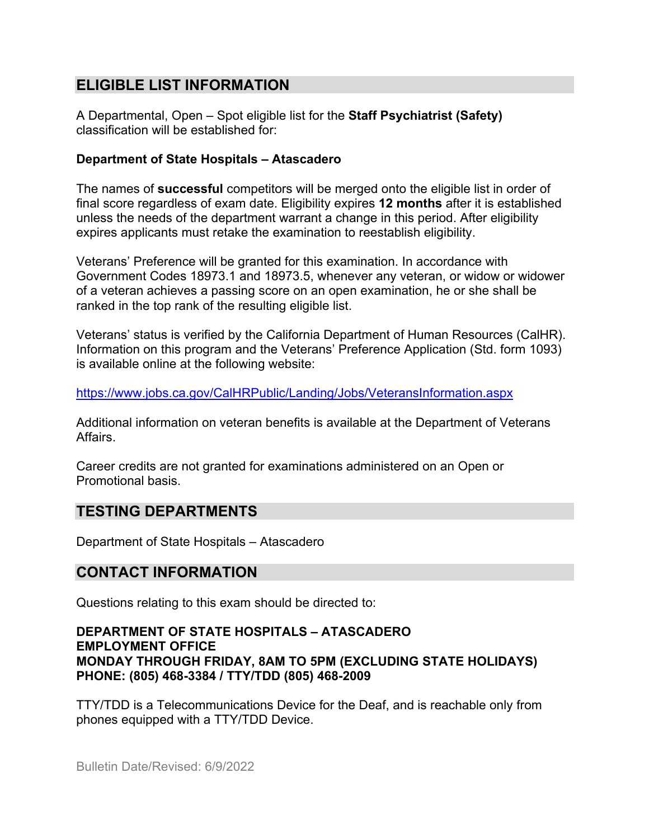### **ELIGIBLE LIST INFORMATION**

A Departmental, Open – Spot eligible list for the **Staff Psychiatrist (Safety)** classification will be established for:

#### **Department of State Hospitals – Atascadero**

The names of **successful** competitors will be merged onto the eligible list in order of final score regardless of exam date. Eligibility expires **12 months** after it is established unless the needs of the department warrant a change in this period. After eligibility expires applicants must retake the examination to reestablish eligibility.

Veterans' Preference will be granted for this examination. In accordance with Government Codes 18973.1 and 18973.5, whenever any veteran, or widow or widower of a veteran achieves a passing score on an open examination, he or she shall be ranked in the top rank of the resulting eligible list.

Veterans' status is verified by the California Department of Human Resources (CalHR). Information on this program and the Veterans' Preference Application (Std. form 1093) is available online at the following website:

<https://www.jobs.ca.gov/CalHRPublic/Landing/Jobs/VeteransInformation.aspx>

Additional information on veteran benefits is available at the Department of Veterans Affairs.

Career credits are not granted for examinations administered on an Open or Promotional basis.

### **TESTING DEPARTMENTS**

Department of State Hospitals – Atascadero

### **CONTACT INFORMATION**

Questions relating to this exam should be directed to:

#### **DEPARTMENT OF STATE HOSPITALS – ATASCADERO EMPLOYMENT OFFICE MONDAY THROUGH FRIDAY, 8AM TO 5PM (EXCLUDING STATE HOLIDAYS) PHONE: (805) 468-3384 / TTY/TDD (805) 468-2009**

TTY/TDD is a Telecommunications Device for the Deaf, and is reachable only from phones equipped with a TTY/TDD Device.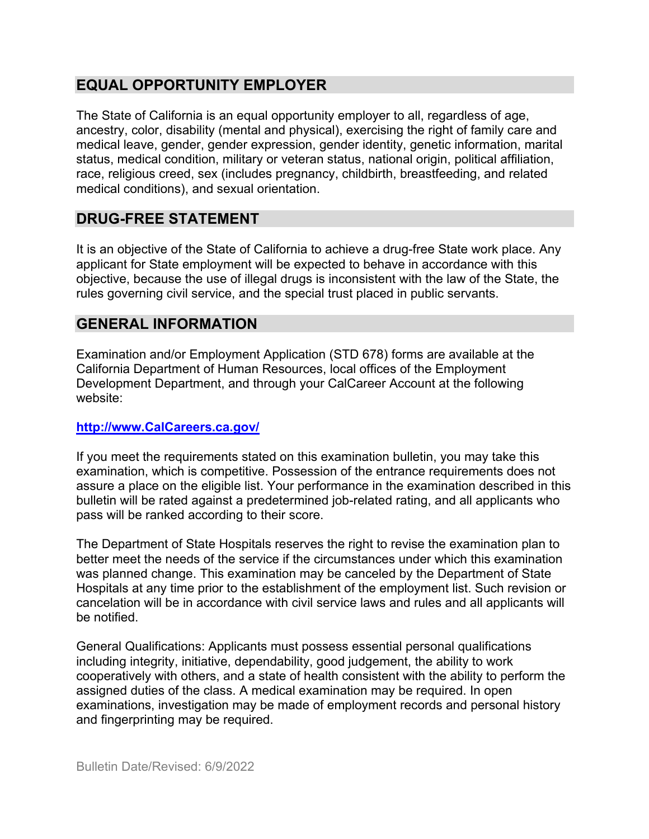### **EQUAL OPPORTUNITY EMPLOYER**

The State of California is an equal opportunity employer to all, regardless of age, ancestry, color, disability (mental and physical), exercising the right of family care and medical leave, gender, gender expression, gender identity, genetic information, marital status, medical condition, military or veteran status, national origin, political affiliation, race, religious creed, sex (includes pregnancy, childbirth, breastfeeding, and related medical conditions), and sexual orientation.

### **DRUG-FREE STATEMENT**

It is an objective of the State of California to achieve a drug-free State work place. Any applicant for State employment will be expected to behave in accordance with this objective, because the use of illegal drugs is inconsistent with the law of the State, the rules governing civil service, and the special trust placed in public servants.

### **GENERAL INFORMATION**

Examination and/or Employment Application (STD 678) forms are available at the California Department of Human Resources, local offices of the Employment Development Department, and through your CalCareer Account at the following website:

#### **http://www.CalCareers.ca.gov/**

If you meet the requirements stated on this examination bulletin, you may take this examination, which is competitive. Possession of the entrance requirements does not assure a place on the eligible list. Your performance in the examination described in this bulletin will be rated against a predetermined job-related rating, and all applicants who pass will be ranked according to their score.

The Department of State Hospitals reserves the right to revise the examination plan to better meet the needs of the service if the circumstances under which this examination was planned change. This examination may be canceled by the Department of State Hospitals at any time prior to the establishment of the employment list. Such revision or cancelation will be in accordance with civil service laws and rules and all applicants will be notified.

General Qualifications: Applicants must possess essential personal qualifications including integrity, initiative, dependability, good judgement, the ability to work cooperatively with others, and a state of health consistent with the ability to perform the assigned duties of the class. A medical examination may be required. In open examinations, investigation may be made of employment records and personal history and fingerprinting may be required.